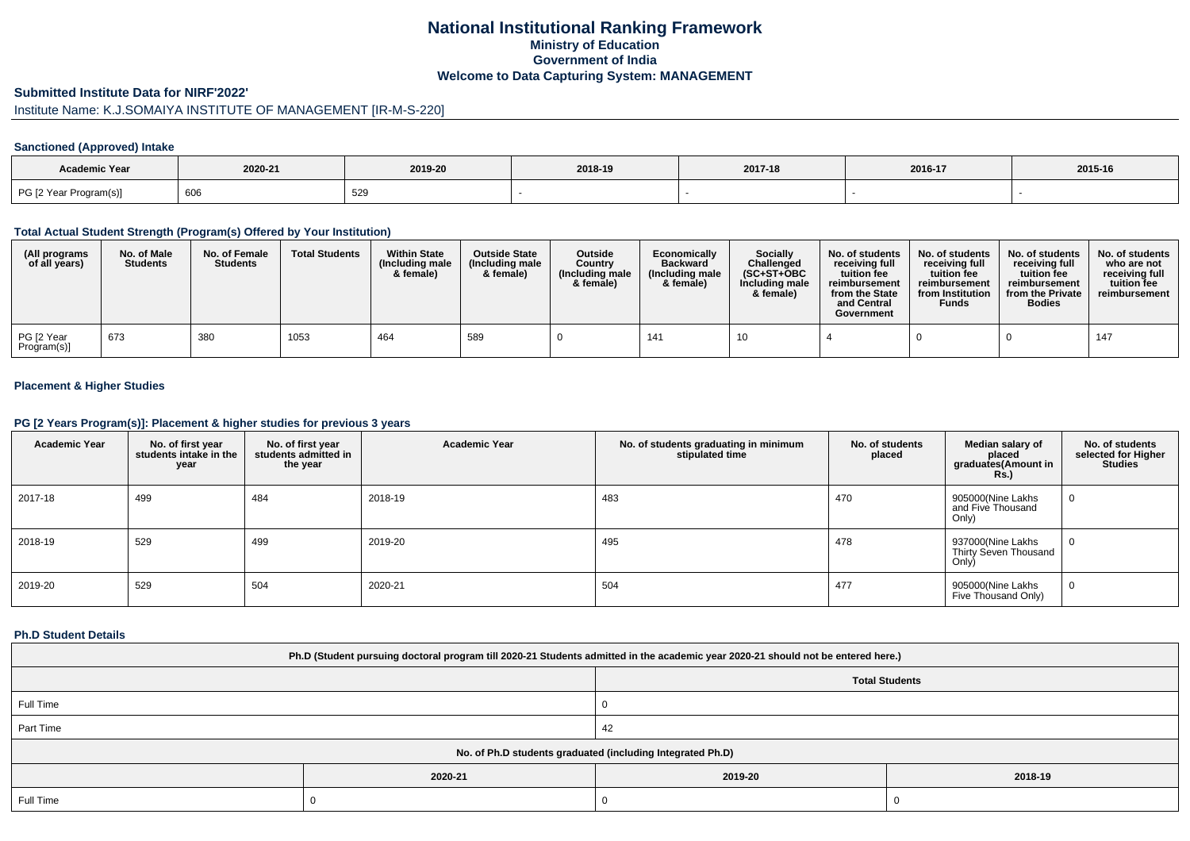# **National Institutional Ranking FrameworkMinistry of Education Government of IndiaWelcome to Data Capturing System: MANAGEMENT**

### **Submitted Institute Data for NIRF'2022'**

# Institute Name: K.J.SOMAIYA INSTITUTE OF MANAGEMENT [IR-M-S-220]

## **Sanctioned (Approved) Intake**

| <b>Academic Year</b>   |         |         |         |         |         |         |
|------------------------|---------|---------|---------|---------|---------|---------|
|                        | 2020-21 | 2019-20 | 2018-19 | 2017-18 | 2016-17 | 2015-16 |
| PG [2 Year Program(s)] | 606     | 529     |         |         |         |         |

### **Total Actual Student Strength (Program(s) Offered by Your Institution)**

| (All programs<br>of all years) | No. of Male<br><b>Students</b> | No. of Female<br><b>Students</b> | <b>Total Students</b> | <b>Within State</b><br>(Including male<br>& female) | <b>Outside State</b><br>(Including male<br>& female) | Outside<br>Country<br>(Including male<br>& female) | Economically<br><b>Backward</b><br>(Including male<br>& female) | <b>Socially</b><br>Challenged<br>$(SC+ST+OBC$<br>Including male<br>& female) | No. of students<br>receivina full<br>tuition fee<br>reimbursement<br>from the State<br>and Central<br>Government | No. of students<br>receiving full<br>tuition fee<br>reimbursement<br>from Institution<br><b>Funds</b> | No. of students<br>receiving full<br>tuition fee<br>reimbursement<br>from the Private<br><b>Bodies</b> | No. of students  <br>who are not<br>receivina full<br>tuition fee<br>reimbursement |
|--------------------------------|--------------------------------|----------------------------------|-----------------------|-----------------------------------------------------|------------------------------------------------------|----------------------------------------------------|-----------------------------------------------------------------|------------------------------------------------------------------------------|------------------------------------------------------------------------------------------------------------------|-------------------------------------------------------------------------------------------------------|--------------------------------------------------------------------------------------------------------|------------------------------------------------------------------------------------|
| PG [2 Year<br>Program(s)]      | 673                            | 380                              | 1053                  | 464                                                 | 589                                                  |                                                    | 141                                                             |                                                                              |                                                                                                                  |                                                                                                       |                                                                                                        | 147                                                                                |

## **Placement & Higher Studies**

### **PG [2 Years Program(s)]: Placement & higher studies for previous 3 years**

| <b>Academic Year</b> | No. of first year<br>students intake in the<br>year | No. of first year<br>students admitted in<br>the year | <b>Academic Year</b> | No. of students graduating in minimum<br>stipulated time | No. of students<br>placed | Median salary of<br>placed<br>graduates(Amount in<br><b>Rs.</b> ) | No. of students<br>selected for Higher<br><b>Studies</b> |
|----------------------|-----------------------------------------------------|-------------------------------------------------------|----------------------|----------------------------------------------------------|---------------------------|-------------------------------------------------------------------|----------------------------------------------------------|
| 2017-18              | 499                                                 | 484                                                   | 2018-19              | 483                                                      | 470                       | 905000(Nine Lakhs<br>and Five Thousand<br>Only)                   | U                                                        |
| 2018-19              | 529                                                 | 499                                                   | 2019-20              | 495                                                      | 478                       | 937000(Nine Lakhs<br>Thirty Seven Thousand<br>Only)               | U                                                        |
| 2019-20              | 529                                                 | 504                                                   | 2020-21              | 504                                                      | 477                       | 905000(Nine Lakhs<br>Five Thousand Only)                          | 0                                                        |

### **Ph.D Student Details**

| Ph.D (Student pursuing doctoral program till 2020-21 Students admitted in the academic year 2020-21 should not be entered here.) |         |                       |         |  |  |  |  |
|----------------------------------------------------------------------------------------------------------------------------------|---------|-----------------------|---------|--|--|--|--|
|                                                                                                                                  |         | <b>Total Students</b> |         |  |  |  |  |
| Full Time                                                                                                                        |         |                       |         |  |  |  |  |
| Part Time                                                                                                                        |         | 42                    |         |  |  |  |  |
| No. of Ph.D students graduated (including Integrated Ph.D)                                                                       |         |                       |         |  |  |  |  |
|                                                                                                                                  | 2020-21 | 2019-20               | 2018-19 |  |  |  |  |
| Full Time                                                                                                                        |         |                       |         |  |  |  |  |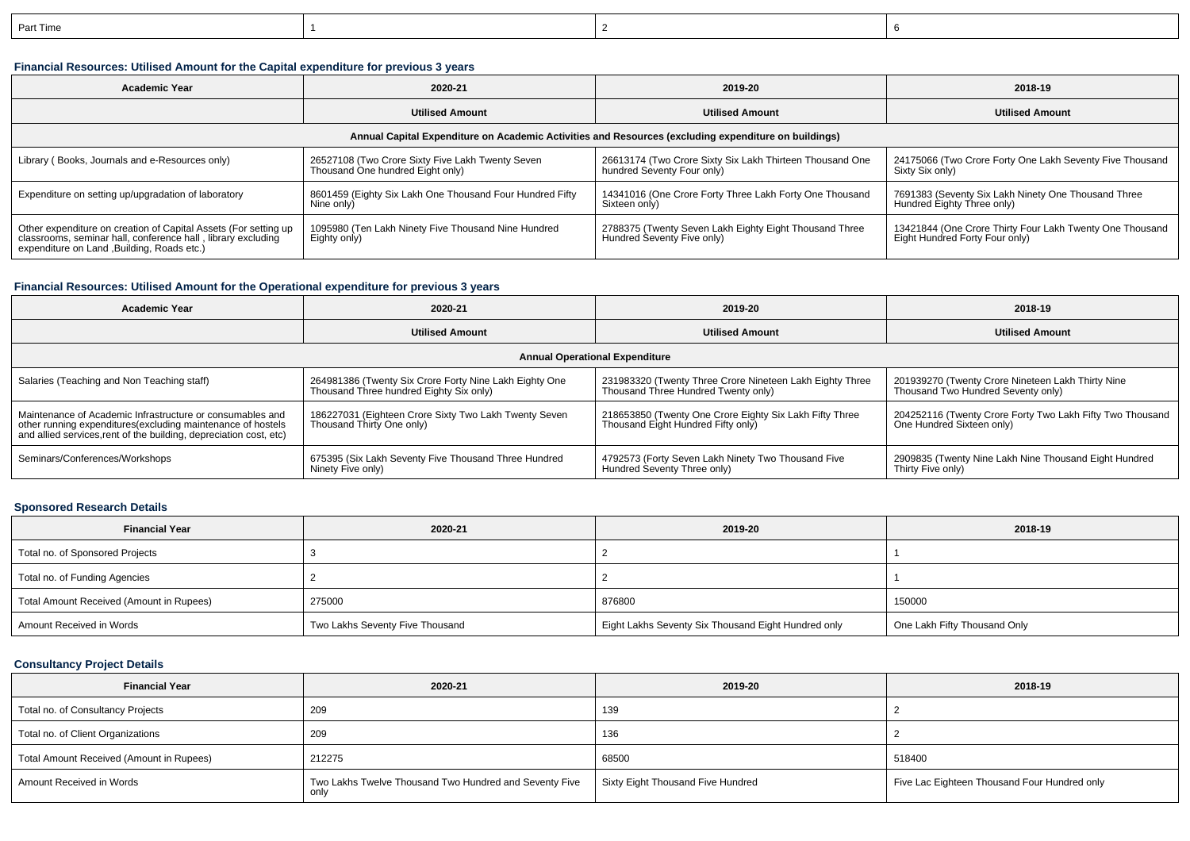| Part Time |  |  |
|-----------|--|--|
|           |  |  |

## **Financial Resources: Utilised Amount for the Capital expenditure for previous 3 years**

| <b>Academic Year</b>                                                                                                                                                           | 2020-21                                                                              |                                                                                        | 2018-19                                                                                    |  |  |  |  |  |
|--------------------------------------------------------------------------------------------------------------------------------------------------------------------------------|--------------------------------------------------------------------------------------|----------------------------------------------------------------------------------------|--------------------------------------------------------------------------------------------|--|--|--|--|--|
|                                                                                                                                                                                | <b>Utilised Amount</b>                                                               |                                                                                        | <b>Utilised Amount</b>                                                                     |  |  |  |  |  |
| Annual Capital Expenditure on Academic Activities and Resources (excluding expenditure on buildings)                                                                           |                                                                                      |                                                                                        |                                                                                            |  |  |  |  |  |
| Library (Books, Journals and e-Resources only)                                                                                                                                 | 26527108 (Two Crore Sixty Five Lakh Twenty Seven<br>Thousand One hundred Eight only) | 26613174 (Two Crore Sixty Six Lakh Thirteen Thousand One<br>hundred Seventy Four only) | 24175066 (Two Crore Forty One Lakh Seventy Five Thousand<br>Sixty Six only)                |  |  |  |  |  |
| Expenditure on setting up/upgradation of laboratory                                                                                                                            | 8601459 (Eighty Six Lakh One Thousand Four Hundred Fifty<br>Nine only)               | 14341016 (One Crore Forty Three Lakh Forty One Thousand<br>Sixteen only)               | 7691383 (Seventy Six Lakh Ninety One Thousand Three<br>Hundred Eighty Three only)          |  |  |  |  |  |
| Other expenditure on creation of Capital Assets (For setting up<br>classrooms, seminar hall, conference hall, library excluding<br>expenditure on Land , Building, Roads etc.) | 1095980 (Ten Lakh Ninety Five Thousand Nine Hundred<br>Eighty only)                  | 2788375 (Twenty Seven Lakh Eighty Eight Thousand Three<br>Hundred Seventy Five only)   | 13421844 (One Crore Thirty Four Lakh Twenty One Thousand<br>Eight Hundred Forty Four only) |  |  |  |  |  |

## **Financial Resources: Utilised Amount for the Operational expenditure for previous 3 years**

| Academic Year                                                                                                                                                                                   | 2020-21                                                                                           | 2019-20                                                                                         | 2018-19                                                                                 |  |  |  |  |  |
|-------------------------------------------------------------------------------------------------------------------------------------------------------------------------------------------------|---------------------------------------------------------------------------------------------------|-------------------------------------------------------------------------------------------------|-----------------------------------------------------------------------------------------|--|--|--|--|--|
|                                                                                                                                                                                                 | <b>Utilised Amount</b>                                                                            | <b>Utilised Amount</b>                                                                          | <b>Utilised Amount</b>                                                                  |  |  |  |  |  |
| <b>Annual Operational Expenditure</b>                                                                                                                                                           |                                                                                                   |                                                                                                 |                                                                                         |  |  |  |  |  |
| Salaries (Teaching and Non Teaching staff)                                                                                                                                                      | 264981386 (Twenty Six Crore Forty Nine Lakh Eighty One<br>Thousand Three hundred Eighty Six only) | 231983320 (Twenty Three Crore Nineteen Lakh Eighty Three<br>Thousand Three Hundred Twenty only) | 201939270 (Twenty Crore Nineteen Lakh Thirty Nine<br>Thousand Two Hundred Seventy only) |  |  |  |  |  |
| Maintenance of Academic Infrastructure or consumables and<br>other running expenditures (excluding maintenance of hostels<br>and allied services, rent of the building, depreciation cost, etc) | 186227031 (Eighteen Crore Sixty Two Lakh Twenty Seven<br>Thousand Thirty One only)                | 218653850 (Twenty One Crore Eighty Six Lakh Fifty Three<br>Thousand Eight Hundred Fifty only)   | 204252116 (Twenty Crore Forty Two Lakh Fifty Two Thousand<br>One Hundred Sixteen only)  |  |  |  |  |  |
| Seminars/Conferences/Workshops                                                                                                                                                                  | 675395 (Six Lakh Seventy Five Thousand Three Hundred<br>Ninety Five only)                         | 4792573 (Forty Seven Lakh Ninety Two Thousand Five<br>Hundred Seventy Three only)               | 2909835 (Twenty Nine Lakh Nine Thousand Eight Hundred<br>Thirty Five only)              |  |  |  |  |  |

#### **Sponsored Research Details**

| <b>Financial Year</b>                    | 2020-21                         | 2019-20                                             | 2018-19                      |
|------------------------------------------|---------------------------------|-----------------------------------------------------|------------------------------|
| Total no. of Sponsored Projects          |                                 |                                                     |                              |
| Total no. of Funding Agencies            |                                 |                                                     |                              |
| Total Amount Received (Amount in Rupees) | 275000                          | 876800                                              | 150000                       |
| Amount Received in Words                 | Two Lakhs Seventy Five Thousand | Eight Lakhs Seventy Six Thousand Eight Hundred only | One Lakh Fifty Thousand Only |

## **Consultancy Project Details**

| <b>Financial Year</b>                    | 2020-21                                                        | 2019-20                           | 2018-19                                      |
|------------------------------------------|----------------------------------------------------------------|-----------------------------------|----------------------------------------------|
| Total no. of Consultancy Projects        | 209                                                            | 139                               |                                              |
| Total no. of Client Organizations        | 209                                                            | 136                               |                                              |
| Total Amount Received (Amount in Rupees) | 212275                                                         | 68500                             | 518400                                       |
| Amount Received in Words                 | Two Lakhs Twelve Thousand Two Hundred and Seventy Five<br>only | Sixty Eight Thousand Five Hundred | Five Lac Eighteen Thousand Four Hundred only |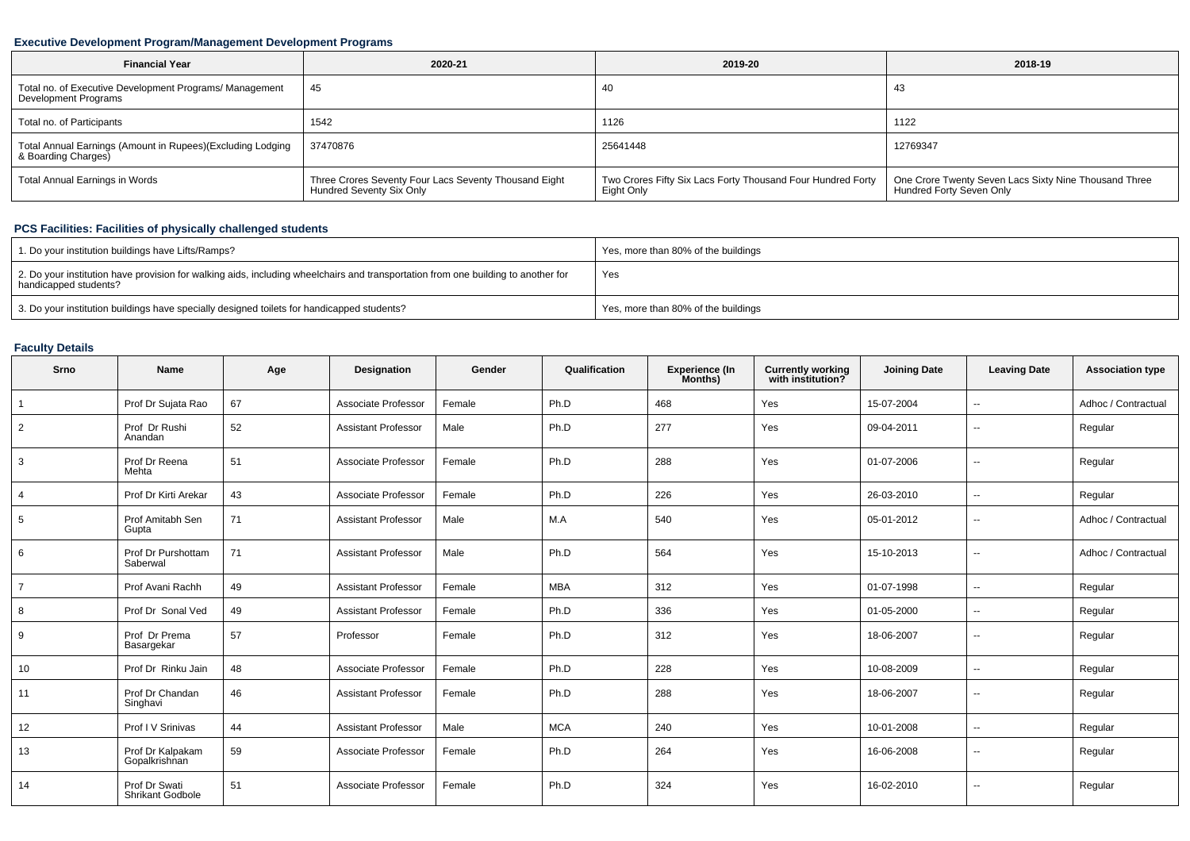## **Executive Development Program/Management Development Programs**

| <b>Financial Year</b>                                                             | 2020-21                                                                           | 2019-20                                                                   | 2018-19                                                                           |
|-----------------------------------------------------------------------------------|-----------------------------------------------------------------------------------|---------------------------------------------------------------------------|-----------------------------------------------------------------------------------|
| Total no. of Executive Development Programs/ Management<br>Development Programs   | 45                                                                                | 40                                                                        | 43                                                                                |
| Total no. of Participants                                                         | 1542                                                                              | 1126                                                                      | 1122                                                                              |
| Total Annual Earnings (Amount in Rupees)(Excluding Lodging<br>& Boarding Charges) | 37470876                                                                          | 25641448                                                                  | 12769347                                                                          |
| Total Annual Earnings in Words                                                    | Three Crores Seventy Four Lacs Seventy Thousand Eight<br>Hundred Seventy Six Only | Two Crores Fifty Six Lacs Forty Thousand Four Hundred Forty<br>Eight Only | One Crore Twenty Seven Lacs Sixty Nine Thousand Three<br>Hundred Forty Seven Only |

## **PCS Facilities: Facilities of physically challenged students**

| 1. Do your institution buildings have Lifts/Ramps?                                                                                                         | Yes, more than 80% of the buildings |
|------------------------------------------------------------------------------------------------------------------------------------------------------------|-------------------------------------|
| 2. Do your institution have provision for walking aids, including wheelchairs and transportation from one building to another for<br>handicapped students? | Yes                                 |
| 3. Do your institution buildings have specially designed toilets for handicapped students?                                                                 | Yes, more than 80% of the buildings |

# **Faculty Details**

| Srno           | <b>Name</b>                       | Age | Designation                | Gender | Qualification | <b>Experience (In</b><br>Months) | <b>Currently working</b><br>with institution? | <b>Joining Date</b> | <b>Leaving Date</b>      | <b>Association type</b> |
|----------------|-----------------------------------|-----|----------------------------|--------|---------------|----------------------------------|-----------------------------------------------|---------------------|--------------------------|-------------------------|
| $\overline{1}$ | Prof Dr Sujata Rao                | 67  | Associate Professor        | Female | Ph.D          | 468                              | Yes                                           | 15-07-2004          | $\overline{\phantom{a}}$ | Adhoc / Contractual     |
| $\overline{2}$ | Prof Dr Rushi<br>Anandan          | 52  | <b>Assistant Professor</b> | Male   | Ph.D          | 277                              | Yes                                           | 09-04-2011          | $-$                      | Regular                 |
| 3              | Prof Dr Reena<br>Mehta            | 51  | Associate Professor        | Female | Ph.D          | 288                              | Yes                                           | 01-07-2006          | $\mathbf{u}$             | Regular                 |
| $\overline{4}$ | Prof Dr Kirti Arekar              | 43  | Associate Professor        | Female | Ph.D          | 226                              | Yes                                           | 26-03-2010          | $\mathbf{u}$             | Regular                 |
| 5              | Prof Amitabh Sen<br>Gupta         | 71  | <b>Assistant Professor</b> | Male   | M.A           | 540                              | Yes                                           | 05-01-2012          | $\sim$                   | Adhoc / Contractual     |
| 6              | Prof Dr Purshottam<br>Saberwal    | 71  | <b>Assistant Professor</b> | Male   | Ph.D          | 564                              | Yes                                           | 15-10-2013          | $\overline{\phantom{a}}$ | Adhoc / Contractual     |
| $\overline{7}$ | Prof Avani Rachh                  | 49  | <b>Assistant Professor</b> | Female | <b>MBA</b>    | 312                              | Yes                                           | 01-07-1998          | $\overline{\phantom{a}}$ | Regular                 |
| 8              | Prof Dr Sonal Ved                 | 49  | <b>Assistant Professor</b> | Female | Ph.D          | 336                              | Yes                                           | 01-05-2000          | $\sim$                   | Regular                 |
| 9              | Prof Dr Prema<br>Basargekar       | 57  | Professor                  | Female | Ph.D          | 312                              | Yes                                           | 18-06-2007          | $\overline{\phantom{a}}$ | Regular                 |
| 10             | Prof Dr Rinku Jain                | 48  | Associate Professor        | Female | Ph.D          | 228                              | Yes                                           | 10-08-2009          | $\overline{\phantom{a}}$ | Regular                 |
| 11             | Prof Dr Chandan<br>Singhavi       | 46  | <b>Assistant Professor</b> | Female | Ph.D          | 288                              | Yes                                           | 18-06-2007          | $\overline{\phantom{a}}$ | Regular                 |
| 12             | Prof I V Srinivas                 | 44  | <b>Assistant Professor</b> | Male   | <b>MCA</b>    | 240                              | Yes                                           | 10-01-2008          | $\overline{\phantom{a}}$ | Regular                 |
| 13             | Prof Dr Kalpakam<br>Gopalkrishnan | 59  | Associate Professor        | Female | Ph.D          | 264                              | Yes                                           | 16-06-2008          | $\overline{a}$           | Regular                 |
| 14             | Prof Dr Swati<br>Shrikant Godbole | 51  | Associate Professor        | Female | Ph.D          | 324                              | Yes                                           | 16-02-2010          | $\overline{\phantom{a}}$ | Regular                 |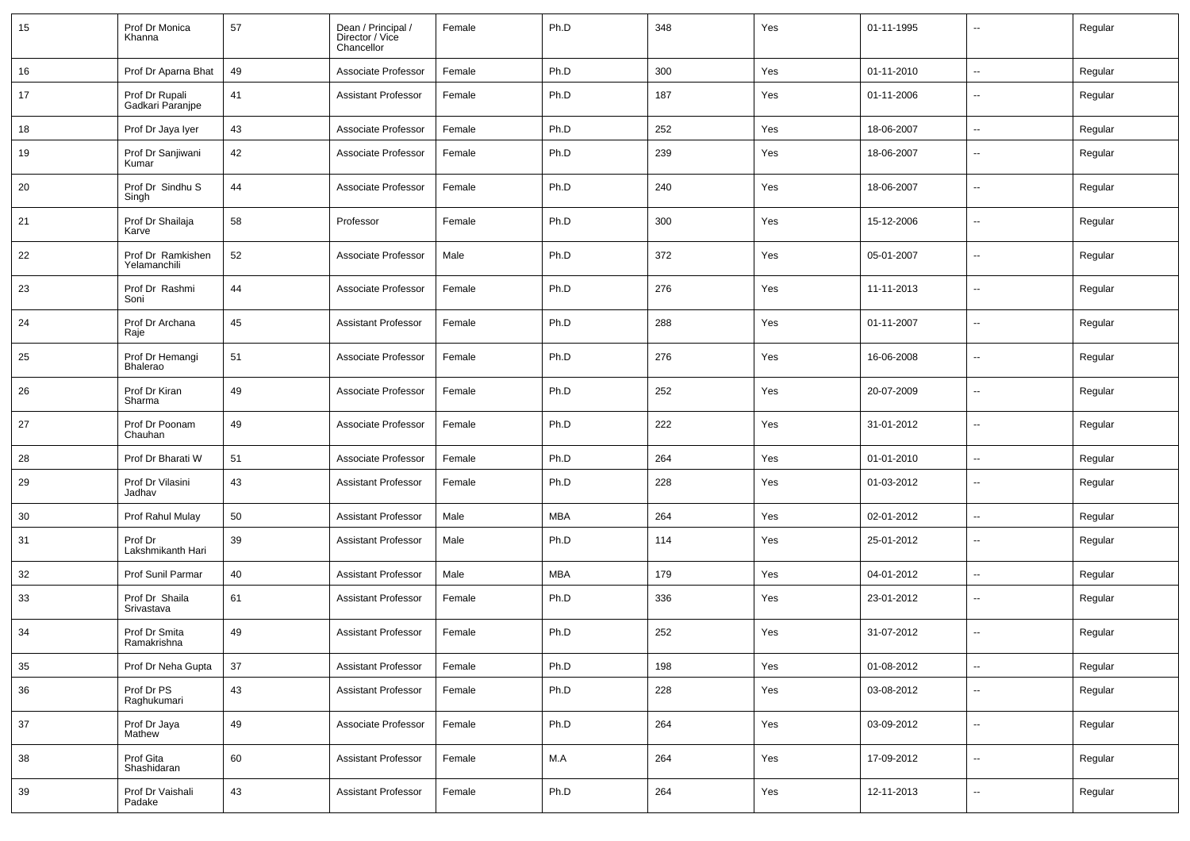| 15 | Prof Dr Monica<br>Khanna           | 57 | Dean / Principal /<br>Director / Vice<br>Chancellor | Female | Ph.D       | 348 | Yes | 01-11-1995 |                          | Regular |
|----|------------------------------------|----|-----------------------------------------------------|--------|------------|-----|-----|------------|--------------------------|---------|
| 16 | Prof Dr Aparna Bhat                | 49 | Associate Professor                                 | Female | Ph.D       | 300 | Yes | 01-11-2010 | ⊷.                       | Regular |
| 17 | Prof Dr Rupali<br>Gadkari Paranipe | 41 | <b>Assistant Professor</b>                          | Female | Ph.D       | 187 | Yes | 01-11-2006 | $\overline{\phantom{a}}$ | Regular |
| 18 | Prof Dr Jaya Iyer                  | 43 | Associate Professor                                 | Female | Ph.D       | 252 | Yes | 18-06-2007 | ⊷.                       | Regular |
| 19 | Prof Dr Sanjiwani<br>Kumar         | 42 | Associate Professor                                 | Female | Ph.D       | 239 | Yes | 18-06-2007 | $\overline{\phantom{a}}$ | Regular |
| 20 | Prof Dr Sindhu S<br>Singh          | 44 | Associate Professor                                 | Female | Ph.D       | 240 | Yes | 18-06-2007 | ⊷.                       | Regular |
| 21 | Prof Dr Shailaja<br>Karve          | 58 | Professor                                           | Female | Ph.D       | 300 | Yes | 15-12-2006 | $\overline{\phantom{a}}$ | Regular |
| 22 | Prof Dr Ramkishen<br>Yelamanchili  | 52 | Associate Professor                                 | Male   | Ph.D       | 372 | Yes | 05-01-2007 | ⊷.                       | Regular |
| 23 | Prof Dr Rashmi<br>Soni             | 44 | Associate Professor                                 | Female | Ph.D       | 276 | Yes | 11-11-2013 | $\overline{\phantom{a}}$ | Regular |
| 24 | Prof Dr Archana<br>Raje            | 45 | <b>Assistant Professor</b>                          | Female | Ph.D       | 288 | Yes | 01-11-2007 | $\overline{\phantom{a}}$ | Regular |
| 25 | Prof Dr Hemangi<br>Bhalerao        | 51 | Associate Professor                                 | Female | Ph.D       | 276 | Yes | 16-06-2008 | $\overline{\phantom{a}}$ | Regular |
| 26 | Prof Dr Kiran<br>Sharma            | 49 | Associate Professor                                 | Female | Ph.D       | 252 | Yes | 20-07-2009 | $\overline{\phantom{a}}$ | Regular |
| 27 | Prof Dr Poonam<br>Chauhan          | 49 | Associate Professor                                 | Female | Ph.D       | 222 | Yes | 31-01-2012 | $\overline{\phantom{a}}$ | Regular |
| 28 | Prof Dr Bharati W                  | 51 | Associate Professor                                 | Female | Ph.D       | 264 | Yes | 01-01-2010 | $\overline{\phantom{a}}$ | Regular |
| 29 | Prof Dr Vilasini<br>Jadhav         | 43 | <b>Assistant Professor</b>                          | Female | Ph.D       | 228 | Yes | 01-03-2012 | $\overline{\phantom{a}}$ | Regular |
| 30 | Prof Rahul Mulay                   | 50 | <b>Assistant Professor</b>                          | Male   | <b>MBA</b> | 264 | Yes | 02-01-2012 | $\overline{\phantom{a}}$ | Regular |
| 31 | Prof Dr<br>Lakshmikanth Hari       | 39 | <b>Assistant Professor</b>                          | Male   | Ph.D       | 114 | Yes | 25-01-2012 | --                       | Regular |
| 32 | Prof Sunil Parmar                  | 40 | <b>Assistant Professor</b>                          | Male   | <b>MBA</b> | 179 | Yes | 04-01-2012 | -−                       | Regular |
| 33 | Prof Dr Shaila<br>Srivastava       | 61 | <b>Assistant Professor</b>                          | Female | Ph.D       | 336 | Yes | 23-01-2012 | ⊷.                       | Regular |
| 34 | Prof Dr Smita<br>Ramakrishna       | 49 | <b>Assistant Professor</b>                          | Female | Ph.D       | 252 | Yes | 31-07-2012 | ⊷.                       | Regular |
| 35 | Prof Dr Neha Gupta                 | 37 | <b>Assistant Professor</b>                          | Female | Ph.D       | 198 | Yes | 01-08-2012 | $\overline{\phantom{a}}$ | Regular |
| 36 | Prof Dr PS<br>Raghukumari          | 43 | <b>Assistant Professor</b>                          | Female | Ph.D       | 228 | Yes | 03-08-2012 | $\overline{\phantom{a}}$ | Regular |
| 37 | Prof Dr Jaya<br>Mathew             | 49 | Associate Professor                                 | Female | Ph.D       | 264 | Yes | 03-09-2012 | $\overline{\phantom{a}}$ | Regular |
| 38 | Prof Gita<br>Shashidaran           | 60 | <b>Assistant Professor</b>                          | Female | M.A        | 264 | Yes | 17-09-2012 | $\overline{\phantom{a}}$ | Regular |
| 39 | Prof Dr Vaishali<br>Padake         | 43 | <b>Assistant Professor</b>                          | Female | Ph.D       | 264 | Yes | 12-11-2013 | $\overline{\phantom{a}}$ | Regular |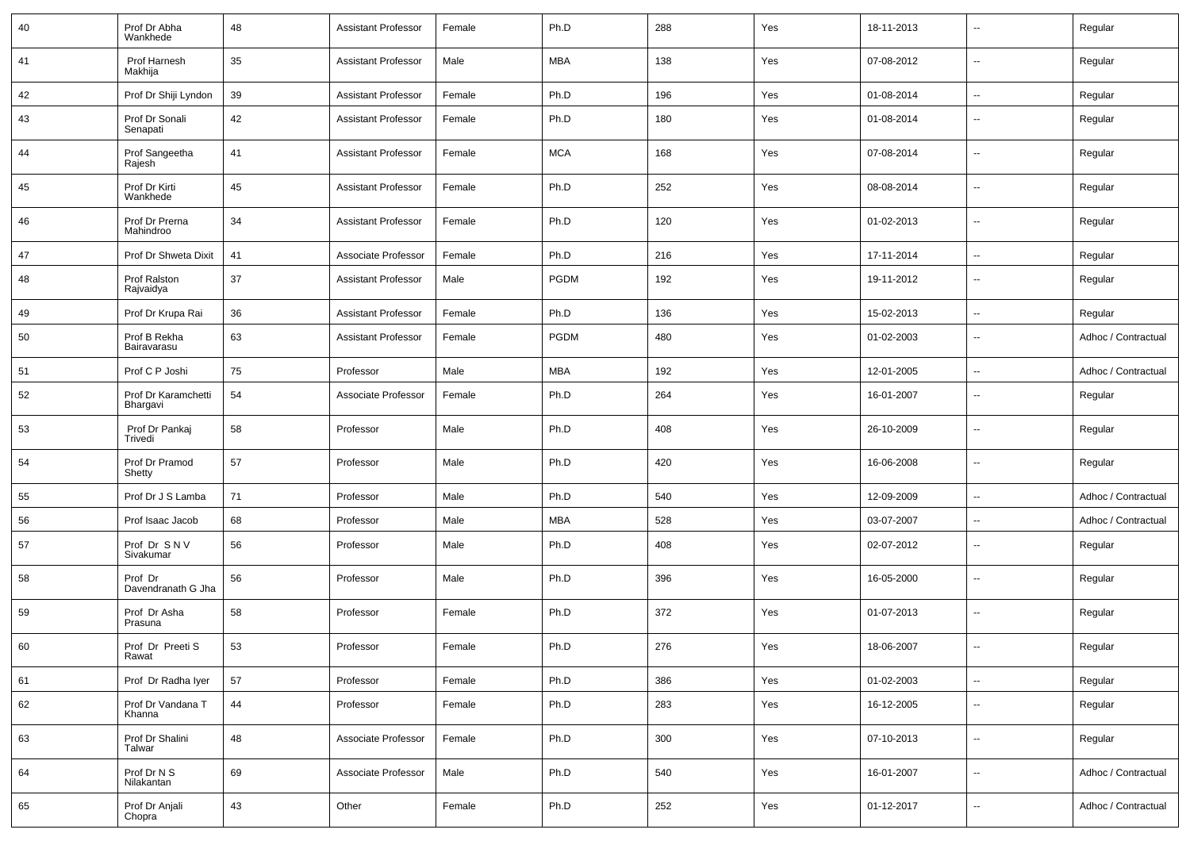| 40 | Prof Dr Abha<br>Wankhede        | 48 | <b>Assistant Professor</b> | Female | Ph.D        | 288 | Yes | 18-11-2013 | $\sim$                   | Regular             |
|----|---------------------------------|----|----------------------------|--------|-------------|-----|-----|------------|--------------------------|---------------------|
| 41 | Prof Harnesh<br>Makhija         | 35 | <b>Assistant Professor</b> | Male   | <b>MBA</b>  | 138 | Yes | 07-08-2012 | $\sim$                   | Regular             |
| 42 | Prof Dr Shiji Lyndon            | 39 | <b>Assistant Professor</b> | Female | Ph.D        | 196 | Yes | 01-08-2014 | $\sim$                   | Regular             |
| 43 | Prof Dr Sonali<br>Senapati      | 42 | <b>Assistant Professor</b> | Female | Ph.D        | 180 | Yes | 01-08-2014 | ۰.                       | Regular             |
| 44 | Prof Sangeetha<br>Rajesh        | 41 | <b>Assistant Professor</b> | Female | <b>MCA</b>  | 168 | Yes | 07-08-2014 | --                       | Regular             |
| 45 | Prof Dr Kirti<br>Wankhede       | 45 | <b>Assistant Professor</b> | Female | Ph.D        | 252 | Yes | 08-08-2014 | $\overline{a}$           | Regular             |
| 46 | Prof Dr Prerna<br>Mahindroo     | 34 | <b>Assistant Professor</b> | Female | Ph.D        | 120 | Yes | 01-02-2013 | $\overline{\phantom{a}}$ | Regular             |
| 47 | Prof Dr Shweta Dixit            | 41 | Associate Professor        | Female | Ph.D        | 216 | Yes | 17-11-2014 | $\overline{\phantom{a}}$ | Regular             |
| 48 | Prof Ralston<br>Rajvaidya       | 37 | Assistant Professor        | Male   | <b>PGDM</b> | 192 | Yes | 19-11-2012 | $\sim$                   | Regular             |
| 49 | Prof Dr Krupa Rai               | 36 | <b>Assistant Professor</b> | Female | Ph.D        | 136 | Yes | 15-02-2013 | $\sim$                   | Regular             |
| 50 | Prof B Rekha<br>Bairavarasu     | 63 | <b>Assistant Professor</b> | Female | <b>PGDM</b> | 480 | Yes | 01-02-2003 | --                       | Adhoc / Contractual |
| 51 | Prof C P Joshi                  | 75 | Professor                  | Male   | <b>MBA</b>  | 192 | Yes | 12-01-2005 | $\overline{a}$           | Adhoc / Contractual |
| 52 | Prof Dr Karamchetti<br>Bhargavi | 54 | Associate Professor        | Female | Ph.D        | 264 | Yes | 16-01-2007 | --                       | Regular             |
| 53 | Prof Dr Pankaj<br>Trivedi       | 58 | Professor                  | Male   | Ph.D        | 408 | Yes | 26-10-2009 | $\overline{a}$           | Regular             |
| 54 | Prof Dr Pramod<br>Shetty        | 57 | Professor                  | Male   | Ph.D        | 420 | Yes | 16-06-2008 | $\overline{a}$           | Regular             |
| 55 | Prof Dr J S Lamba               | 71 | Professor                  | Male   | Ph.D        | 540 | Yes | 12-09-2009 | $\overline{\phantom{a}}$ | Adhoc / Contractual |
| 56 | Prof Isaac Jacob                | 68 | Professor                  | Male   | <b>MBA</b>  | 528 | Yes | 03-07-2007 | $\sim$                   | Adhoc / Contractual |
| 57 | Prof Dr SNV<br>Sivakumar        | 56 | Professor                  | Male   | Ph.D        | 408 | Yes | 02-07-2012 | $\sim$                   | Regular             |
| 58 | Prof Dr<br>Davendranath G Jha   | 56 | Professor                  | Male   | Ph.D        | 396 | Yes | 16-05-2000 | $\overline{\phantom{a}}$ | Regular             |
| 59 | Prof Dr Asha<br>Prasuna         | 58 | Professor                  | Female | Ph.D        | 372 | Yes | 01-07-2013 | $\sim$                   | Regular             |
| 60 | Prof Dr Preeti S<br>Rawat       | 53 | Professor                  | Female | Ph.D        | 276 | Yes | 18-06-2007 | $\sim$                   | Regular             |
| 61 | Prof Dr Radha Iyer              | 57 | Professor                  | Female | Ph.D        | 386 | Yes | 01-02-2003 | $\sim$                   | Regular             |
| 62 | Prof Dr Vandana T<br>Khanna     | 44 | Professor                  | Female | Ph.D        | 283 | Yes | 16-12-2005 | Ξ.                       | Regular             |
| 63 | Prof Dr Shalini<br>Talwar       | 48 | Associate Professor        | Female | Ph.D        | 300 | Yes | 07-10-2013 | Ξ.                       | Regular             |
| 64 | Prof Dr N S<br>Nilakantan       | 69 | Associate Professor        | Male   | Ph.D        | 540 | Yes | 16-01-2007 | u.                       | Adhoc / Contractual |
| 65 | Prof Dr Anjali<br>Chopra        | 43 | Other                      | Female | Ph.D        | 252 | Yes | 01-12-2017 | --                       | Adhoc / Contractual |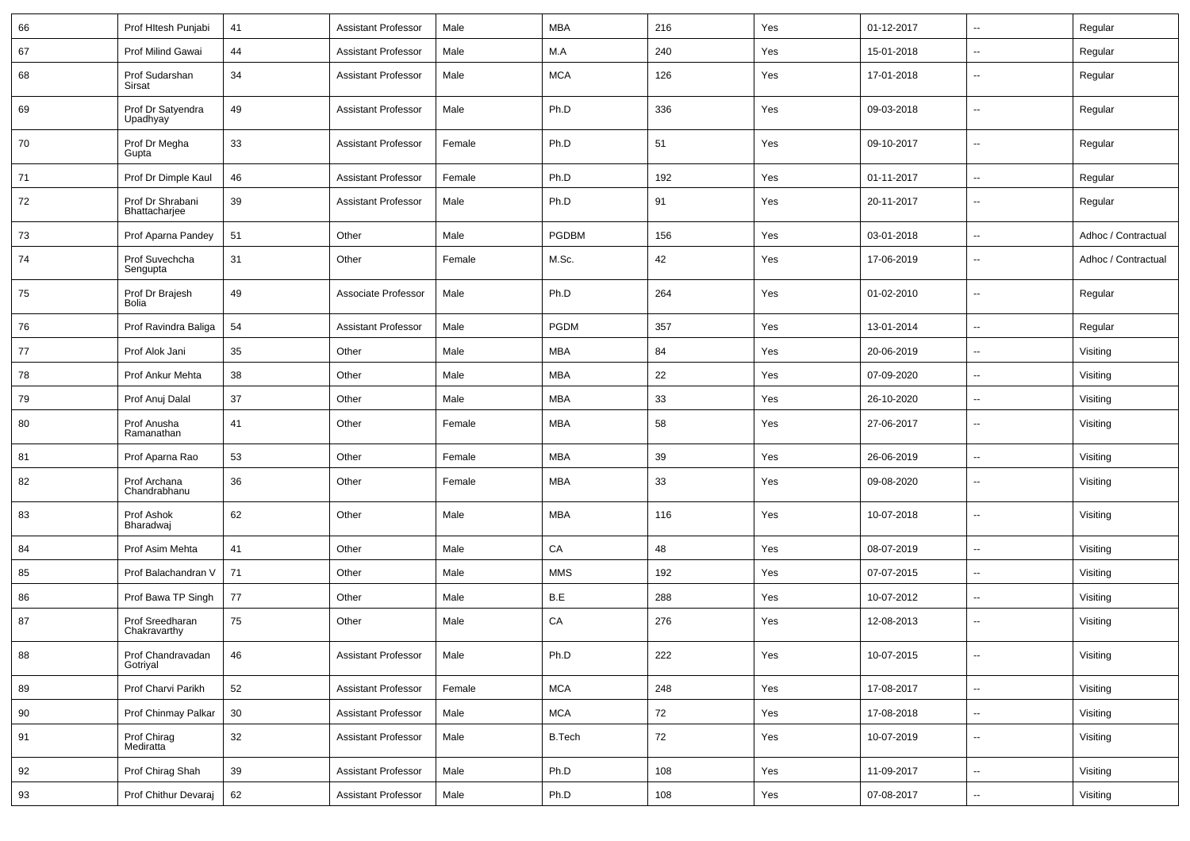| 66 | Prof Hitesh Punjabi               | 41 | <b>Assistant Professor</b> | Male   | <b>MBA</b>    | 216 | Yes | 01-12-2017 | $\overline{\phantom{a}}$ | Regular             |
|----|-----------------------------------|----|----------------------------|--------|---------------|-----|-----|------------|--------------------------|---------------------|
| 67 | Prof Milind Gawai                 | 44 | <b>Assistant Professor</b> | Male   | M.A           | 240 | Yes | 15-01-2018 | --                       | Regular             |
| 68 | Prof Sudarshan<br>Sirsat          | 34 | <b>Assistant Professor</b> | Male   | <b>MCA</b>    | 126 | Yes | 17-01-2018 | $\overline{\phantom{a}}$ | Regular             |
| 69 | Prof Dr Satyendra<br>Upadhyay     | 49 | <b>Assistant Professor</b> | Male   | Ph.D          | 336 | Yes | 09-03-2018 | --                       | Regular             |
| 70 | Prof Dr Megha<br>Gupta            | 33 | <b>Assistant Professor</b> | Female | Ph.D          | 51  | Yes | 09-10-2017 | $\overline{\phantom{a}}$ | Regular             |
| 71 | Prof Dr Dimple Kaul               | 46 | <b>Assistant Professor</b> | Female | Ph.D          | 192 | Yes | 01-11-2017 | $\overline{\phantom{a}}$ | Regular             |
| 72 | Prof Dr Shrabani<br>Bhattacharjee | 39 | <b>Assistant Professor</b> | Male   | Ph.D          | 91  | Yes | 20-11-2017 | $\overline{\phantom{a}}$ | Regular             |
| 73 | Prof Aparna Pandey                | 51 | Other                      | Male   | PGDBM         | 156 | Yes | 03-01-2018 | $\overline{a}$           | Adhoc / Contractual |
| 74 | Prof Suvechcha<br>Sengupta        | 31 | Other                      | Female | M.Sc.         | 42  | Yes | 17-06-2019 | --                       | Adhoc / Contractual |
| 75 | Prof Dr Brajesh<br>Bolia          | 49 | Associate Professor        | Male   | Ph.D          | 264 | Yes | 01-02-2010 | $\overline{a}$           | Regular             |
| 76 | Prof Ravindra Baliga              | 54 | <b>Assistant Professor</b> | Male   | <b>PGDM</b>   | 357 | Yes | 13-01-2014 | $\overline{\phantom{a}}$ | Regular             |
| 77 | Prof Alok Jani                    | 35 | Other                      | Male   | <b>MBA</b>    | 84  | Yes | 20-06-2019 | $\overline{\phantom{a}}$ | Visiting            |
| 78 | Prof Ankur Mehta                  | 38 | Other                      | Male   | <b>MBA</b>    | 22  | Yes | 07-09-2020 | $\overline{\phantom{a}}$ | Visiting            |
| 79 | Prof Anuj Dalal                   | 37 | Other                      | Male   | <b>MBA</b>    | 33  | Yes | 26-10-2020 | --                       | Visiting            |
| 80 | Prof Anusha<br>Ramanathan         | 41 | Other                      | Female | <b>MBA</b>    | 58  | Yes | 27-06-2017 | $\overline{\phantom{a}}$ | Visiting            |
| 81 | Prof Aparna Rao                   | 53 | Other                      | Female | <b>MBA</b>    | 39  | Yes | 26-06-2019 | $\overline{\phantom{a}}$ | Visiting            |
| 82 | Prof Archana<br>Chandrabhanu      | 36 | Other                      | Female | <b>MBA</b>    | 33  | Yes | 09-08-2020 | --                       | Visiting            |
| 83 | Prof Ashok<br>Bharadwaj           | 62 | Other                      | Male   | <b>MBA</b>    | 116 | Yes | 10-07-2018 | $\overline{\phantom{a}}$ | Visiting            |
| 84 | Prof Asim Mehta                   | 41 | Other                      | Male   | CA            | 48  | Yes | 08-07-2019 | $\overline{a}$           | Visiting            |
| 85 | Prof Balachandran V               | 71 | Other                      | Male   | <b>MMS</b>    | 192 | Yes | 07-07-2015 | $\overline{\phantom{a}}$ | Visiting            |
| 86 | Prof Bawa TP Singh                | 77 | Other                      | Male   | B.E           | 288 | Yes | 10-07-2012 | $\overline{\phantom{a}}$ | Visiting            |
| 87 | Prof Sreedharan<br>Chakravarthy   | 75 | Other                      | Male   | CA            | 276 | Yes | 12-08-2013 | $\overline{\phantom{a}}$ | Visiting            |
| 88 | Prof Chandravadan<br>Gotriyal     | 46 | Assistant Professor        | Male   | Ph.D          | 222 | Yes | 10-07-2015 | $\overline{\phantom{a}}$ | Visiting            |
| 89 | Prof Charvi Parikh                | 52 | <b>Assistant Professor</b> | Female | <b>MCA</b>    | 248 | Yes | 17-08-2017 | н.                       | Visiting            |
| 90 | Prof Chinmay Palkar               | 30 | <b>Assistant Professor</b> | Male   | <b>MCA</b>    | 72  | Yes | 17-08-2018 | $\sim$                   | Visiting            |
| 91 | Prof Chirag<br>Mediratta          | 32 | <b>Assistant Professor</b> | Male   | <b>B.Tech</b> | 72  | Yes | 10-07-2019 | $\sim$                   | Visiting            |
| 92 | Prof Chirag Shah                  | 39 | <b>Assistant Professor</b> | Male   | Ph.D          | 108 | Yes | 11-09-2017 | $\sim$                   | Visiting            |
| 93 | Prof Chithur Devaraj              | 62 | <b>Assistant Professor</b> | Male   | Ph.D          | 108 | Yes | 07-08-2017 | $\overline{\phantom{a}}$ | Visiting            |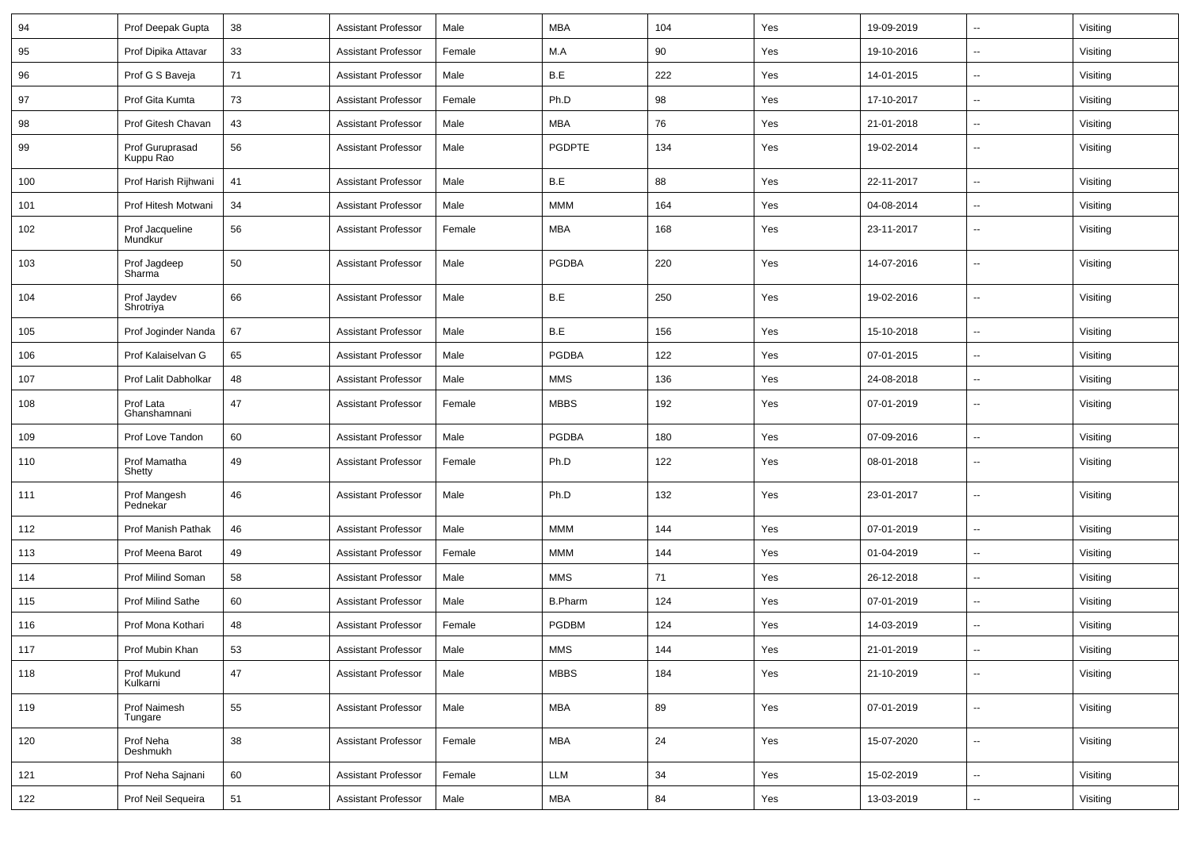| 94  | Prof Deepak Gupta            | 38 | <b>Assistant Professor</b> | Male   | <b>MBA</b>       | 104   | Yes                           | 19-09-2019 | $\overline{a}$           | Visiting |
|-----|------------------------------|----|----------------------------|--------|------------------|-------|-------------------------------|------------|--------------------------|----------|
| 95  | Prof Dipika Attavar          | 33 | Assistant Professor        | Female | M.A              | 90    | Yes                           | 19-10-2016 | $\mathbf{u}$             | Visiting |
| 96  | Prof G S Baveja              | 71 | <b>Assistant Professor</b> | Male   | B.E              | 222   | Yes                           | 14-01-2015 |                          | Visiting |
| 97  | Prof Gita Kumta              | 73 | <b>Assistant Professor</b> | Female | Ph.D             | 98    | Yes                           | 17-10-2017 |                          | Visiting |
| 98  | Prof Gitesh Chavan           | 43 | Assistant Professor        | Male   | <b>MBA</b>       | 76    | Yes                           | 21-01-2018 | $\overline{\phantom{a}}$ | Visiting |
| 99  | Prof Guruprasad<br>Kuppu Rao | 56 | <b>Assistant Professor</b> | Male   | PGDPTE           | 134   | Yes                           | 19-02-2014 | $\overline{\phantom{a}}$ | Visiting |
| 100 | Prof Harish Rijhwani         | 41 | <b>Assistant Professor</b> | Male   | B.E              | 88    | Yes                           | 22-11-2017 |                          | Visiting |
| 101 | Prof Hitesh Motwani          | 34 | Assistant Professor        | Male   | <b>MMM</b>       | 164   | Yes                           | 04-08-2014 |                          | Visiting |
| 102 | Prof Jacqueline<br>Mundkur   | 56 | Assistant Professor        | Female | MBA              | 168   | Yes                           | 23-11-2017 | $\sim$                   | Visiting |
| 103 | Prof Jagdeep<br>Sharma       | 50 | Assistant Professor        | Male   | <b>PGDBA</b>     | 220   | Yes                           | 14-07-2016 | $\mathbf{u}$             | Visiting |
| 104 | Prof Jaydev<br>Shrotriya     | 66 | Assistant Professor        | Male   | B.E              | 250   | Yes                           | 19-02-2016 | $\sim$                   | Visiting |
| 105 | Prof Joginder Nanda          | 67 | Assistant Professor        | Male   | B.E              | 156   | Yes                           | 15-10-2018 | $\mathbf{u}$             | Visiting |
| 106 | Prof Kalaiselvan G           | 65 | <b>Assistant Professor</b> | Male   | PGDBA            | 122   | Yes                           | 07-01-2015 | --                       | Visiting |
| 107 | Prof Lalit Dabholkar         | 48 | <b>Assistant Professor</b> | Male   | <b>MMS</b>       | 136   | Yes                           | 24-08-2018 |                          | Visiting |
| 108 | Prof Lata<br>Ghanshamnani    | 47 | <b>Assistant Professor</b> | Female | <b>MBBS</b>      | 192   | Yes                           | 07-01-2019 | $\overline{\phantom{a}}$ | Visiting |
| 109 | Prof Love Tandon             | 60 | <b>Assistant Professor</b> | Male   | <b>PGDBA</b>     | 180   | Yes                           | 07-09-2016 | $\mathbf{u}$             | Visiting |
| 110 | Prof Mamatha<br>Shetty       | 49 | <b>Assistant Professor</b> | Female | Ph.D             | 122   | Yes                           | 08-01-2018 |                          | Visiting |
| 111 | Prof Mangesh<br>Pednekar     | 46 | <b>Assistant Professor</b> | Male   | Ph.D             | 132   | Yes                           | 23-01-2017 |                          | Visiting |
| 112 | Prof Manish Pathak           | 46 | <b>Assistant Professor</b> | Male   | <b>MMM</b>       | 144   | Yes                           | 07-01-2019 | $\overline{\phantom{a}}$ | Visiting |
| 113 | Prof Meena Barot             | 49 | <b>Assistant Professor</b> | Female | <b>MMM</b>       | 144   | Yes                           | 01-04-2019 |                          | Visiting |
| 114 | Prof Milind Soman            | 58 | <b>Assistant Professor</b> | Male   | <b>MMS</b>       | 71    | Yes                           | 26-12-2018 | $\sim$                   | Visiting |
| 115 | Prof Milind Sathe            | 60 | <b>Assistant Professor</b> | Male   | <b>B.Pharm</b>   | 124   | Yes                           | 07-01-2019 | $\overline{\phantom{a}}$ | Visiting |
| 116 | Prof Mona Kothari            | 48 | <b>Assistant Professor</b> | Female | PGDBM            | 124   | Yes                           | 14-03-2019 | $\mathbf{u}$             | Visiting |
| 117 | Prof Mubin Khan              | 53 | <b>Assistant Professor</b> | Male   | $\textsf{MMS}{}$ | $144$ | $\operatorname{\mathsf{Yes}}$ | 21-01-2019 |                          | Visiting |
| 118 | Prof Mukund<br>Kulkarni      | 47 | Assistant Professor        | Male   | <b>MBBS</b>      | 184   | Yes                           | 21-10-2019 | $\sim$                   | Visiting |
| 119 | Prof Naimesh<br>Tungare      | 55 | Assistant Professor        | Male   | <b>MBA</b>       | 89    | Yes                           | 07-01-2019 | $\sim$                   | Visiting |
| 120 | Prof Neha<br>Deshmukh        | 38 | <b>Assistant Professor</b> | Female | <b>MBA</b>       | 24    | Yes                           | 15-07-2020 | $\overline{\phantom{a}}$ | Visiting |
| 121 | Prof Neha Sajnani            | 60 | <b>Assistant Professor</b> | Female | <b>LLM</b>       | 34    | Yes                           | 15-02-2019 | $\sim$                   | Visiting |
| 122 | Prof Neil Sequeira           | 51 | Assistant Professor        | Male   | MBA              | 84    | Yes                           | 13-03-2019 | $\sim$                   | Visiting |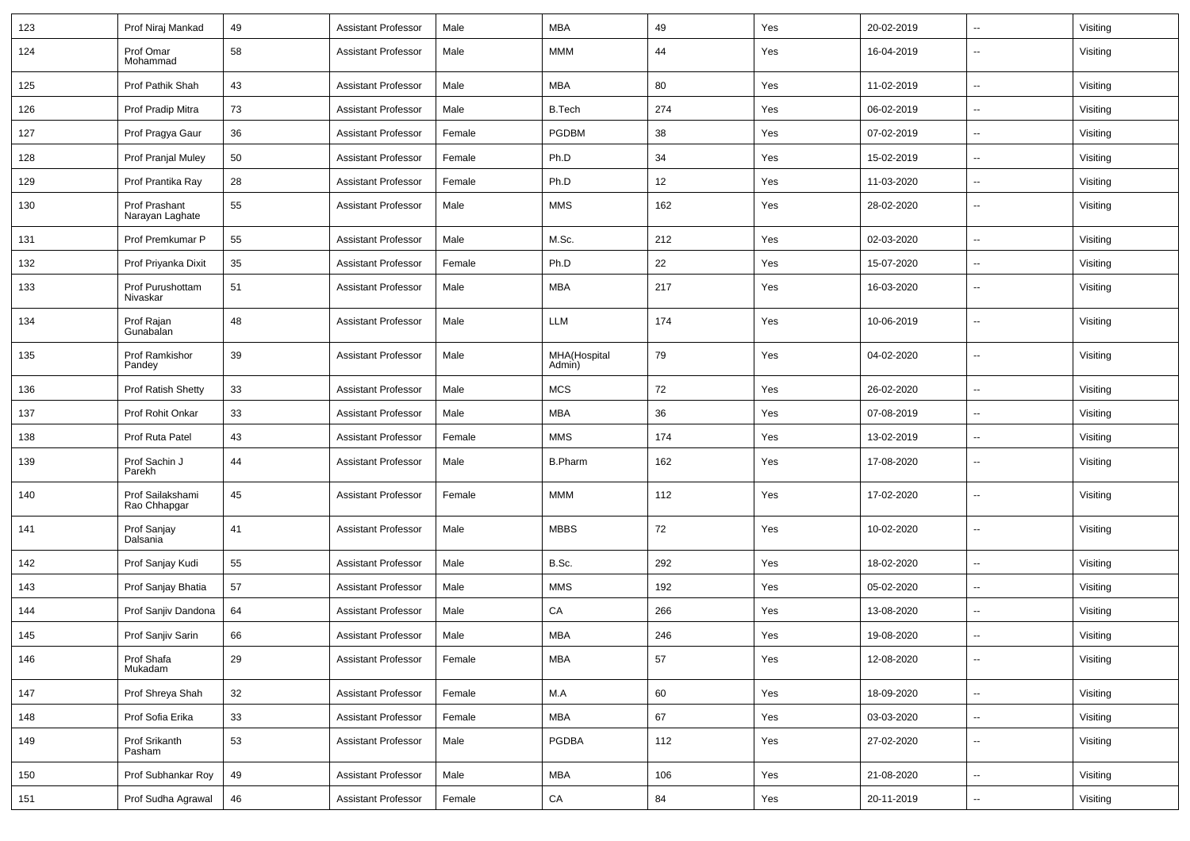| 123 | Prof Niraj Mankad                | 49     | Assistant Professor        | Male   | MBA                    | 49  | Yes | 20-02-2019 | $\mathbf{u}$             | Visiting |
|-----|----------------------------------|--------|----------------------------|--------|------------------------|-----|-----|------------|--------------------------|----------|
| 124 | Prof Omar<br>Mohammad            | 58     | <b>Assistant Professor</b> | Male   | <b>MMM</b>             | 44  | Yes | 16-04-2019 | --                       | Visiting |
| 125 | Prof Pathik Shah                 | 43     | Assistant Professor        | Male   | MBA                    | 80  | Yes | 11-02-2019 | $\overline{\phantom{a}}$ | Visiting |
| 126 | Prof Pradip Mitra                | 73     | <b>Assistant Professor</b> | Male   | <b>B.Tech</b>          | 274 | Yes | 06-02-2019 | $\overline{\phantom{a}}$ | Visiting |
| 127 | Prof Pragya Gaur                 | 36     | Assistant Professor        | Female | <b>PGDBM</b>           | 38  | Yes | 07-02-2019 | $\overline{\phantom{a}}$ | Visiting |
| 128 | <b>Prof Pranjal Muley</b>        | 50     | <b>Assistant Professor</b> | Female | Ph.D                   | 34  | Yes | 15-02-2019 |                          | Visiting |
| 129 | Prof Prantika Ray                | 28     | <b>Assistant Professor</b> | Female | Ph.D                   | 12  | Yes | 11-03-2020 | $\sim$                   | Visiting |
| 130 | Prof Prashant<br>Narayan Laghate | 55     | Assistant Professor        | Male   | <b>MMS</b>             | 162 | Yes | 28-02-2020 | $\overline{\phantom{a}}$ | Visiting |
| 131 | Prof Premkumar P                 | 55     | <b>Assistant Professor</b> | Male   | M.Sc.                  | 212 | Yes | 02-03-2020 | $\sim$                   | Visiting |
| 132 | Prof Priyanka Dixit              | 35     | <b>Assistant Professor</b> | Female | Ph.D                   | 22  | Yes | 15-07-2020 |                          | Visiting |
| 133 | Prof Purushottam<br>Nivaskar     | 51     | <b>Assistant Professor</b> | Male   | <b>MBA</b>             | 217 | Yes | 16-03-2020 | $\overline{\phantom{a}}$ | Visiting |
| 134 | Prof Rajan<br>Gunabalan          | 48     | <b>Assistant Professor</b> | Male   | LLM                    | 174 | Yes | 10-06-2019 | --                       | Visiting |
| 135 | Prof Ramkishor<br>Pandey         | 39     | <b>Assistant Professor</b> | Male   | MHA(Hospital<br>Admin) | 79  | Yes | 04-02-2020 | $\overline{\phantom{a}}$ | Visiting |
| 136 | <b>Prof Ratish Shetty</b>        | 33     | <b>Assistant Professor</b> | Male   | <b>MCS</b>             | 72  | Yes | 26-02-2020 | $\overline{\phantom{a}}$ | Visiting |
| 137 | Prof Rohit Onkar                 | 33     | Assistant Professor        | Male   | MBA                    | 36  | Yes | 07-08-2019 | $\overline{\phantom{a}}$ | Visiting |
| 138 | Prof Ruta Patel                  | 43     | <b>Assistant Professor</b> | Female | <b>MMS</b>             | 174 | Yes | 13-02-2019 | --                       | Visiting |
| 139 | Prof Sachin J<br>Parekh          | 44     | <b>Assistant Professor</b> | Male   | <b>B.Pharm</b>         | 162 | Yes | 17-08-2020 | $\overline{\phantom{a}}$ | Visiting |
| 140 | Prof Sailakshami<br>Rao Chhapgar | 45     | <b>Assistant Professor</b> | Female | MMM                    | 112 | Yes | 17-02-2020 | $\overline{a}$           | Visiting |
| 141 | Prof Sanjay<br>Dalsania          | 41     | <b>Assistant Professor</b> | Male   | <b>MBBS</b>            | 72  | Yes | 10-02-2020 | $\mathbf{u}$             | Visiting |
| 142 | Prof Sanjay Kudi                 | 55     | <b>Assistant Professor</b> | Male   | B.Sc.                  | 292 | Yes | 18-02-2020 | $\overline{a}$           | Visiting |
| 143 | Prof Sanjay Bhatia               | 57     | Assistant Professor        | Male   | <b>MMS</b>             | 192 | Yes | 05-02-2020 | $\mathbf{u}$             | Visiting |
| 144 | Prof Sanjiv Dandona              | 64     | <b>Assistant Professor</b> | Male   | CA                     | 266 | Yes | 13-08-2020 | $\overline{\phantom{a}}$ | Visiting |
| 145 | Prof Sanjiv Sarin                | 66     | <b>Assistant Professor</b> | Male   | MBA                    | 246 | Yes | 19-08-2020 |                          | Visiting |
| 146 | Prof Shafa<br>Mukadam            | 29     | <b>Assistant Professor</b> | Female | <b>MBA</b>             | 57  | Yes | 12-08-2020 | $\overline{\phantom{a}}$ | Visiting |
| 147 | Prof Shreya Shah                 | $32\,$ | <b>Assistant Professor</b> | Female | M.A                    | 60  | Yes | 18-09-2020 | $\overline{\phantom{a}}$ | Visiting |
| 148 | Prof Sofia Erika                 | 33     | <b>Assistant Professor</b> | Female | <b>MBA</b>             | 67  | Yes | 03-03-2020 | $\sim$                   | Visiting |
| 149 | Prof Srikanth<br>Pasham          | 53     | <b>Assistant Professor</b> | Male   | PGDBA                  | 112 | Yes | 27-02-2020 | $\sim$                   | Visiting |
| 150 | Prof Subhankar Roy               | 49     | <b>Assistant Professor</b> | Male   | <b>MBA</b>             | 106 | Yes | 21-08-2020 | $\sim$                   | Visiting |
| 151 | Prof Sudha Agrawal               | 46     | <b>Assistant Professor</b> | Female | CA                     | 84  | Yes | 20-11-2019 | $\overline{\phantom{a}}$ | Visiting |